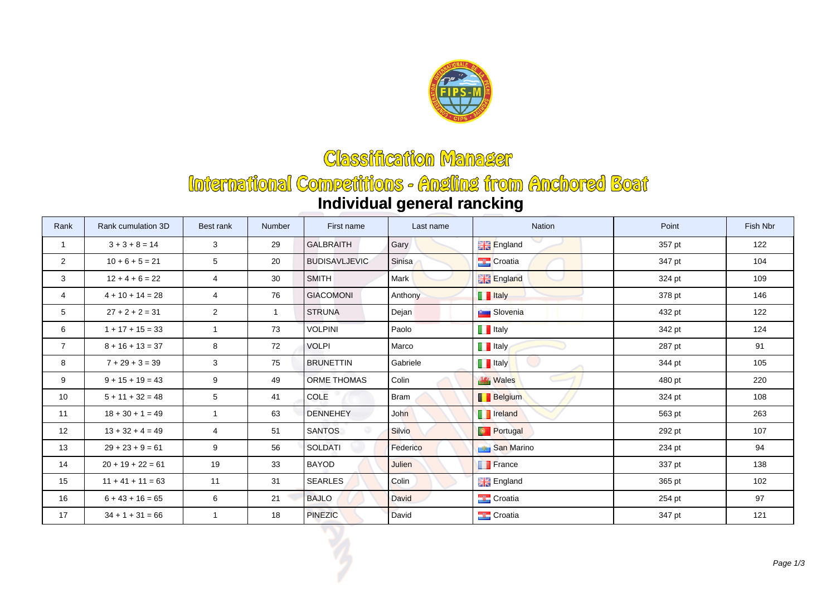

## **Classification Manager**

## International Competitions - Angling from Anchored Boat **Individual general rancking**

| Rank            | Rank cumulation 3D  | Best rank       | Number         | First name           | Last name     | Nation               | Point  | Fish Nbr |
|-----------------|---------------------|-----------------|----------------|----------------------|---------------|----------------------|--------|----------|
| $\mathbf{1}$    | $3 + 3 + 8 = 14$    | 3               | 29             | <b>GALBRAITH</b>     | Gary          | <b>England</b>       | 357 pt | 122      |
| $\overline{2}$  | $10 + 6 + 5 = 21$   | $5\phantom{.0}$ | 20             | <b>BUDISAVLJEVIC</b> | Sinisa        | <b>Croatia</b>       | 347 pt | 104      |
| 3               | $12 + 4 + 6 = 22$   | 4               | 30             | <b>SMITH</b>         | Mark          | <b>England</b>       | 324 pt | 109      |
| $\overline{4}$  | $4 + 10 + 14 = 28$  | $\overline{4}$  | 76             | <b>GIACOMONI</b>     | Anthony       | <b>T</b> Italy       | 378 pt | 146      |
| 5               | $27 + 2 + 2 = 31$   | $\overline{c}$  | $\overline{1}$ | <b>STRUNA</b>        | Dejan         | <b>But</b> Slovenia  | 432 pt | 122      |
| 6               | $1 + 17 + 15 = 33$  | $\mathbf{1}$    | 73             | <b>VOLPINI</b>       | Paolo         | $\blacksquare$ Italy | 342 pt | 124      |
| $\overline{7}$  | $8 + 16 + 13 = 37$  | 8               | 72             | <b>VOLPI</b>         | Marco         | $\blacksquare$ Italy | 287 pt | 91       |
| 8               | $7 + 29 + 3 = 39$   | 3               | 75             | <b>BRUNETTIN</b>     | Gabriele      | <b>T</b> Italy       | 344 pt | 105      |
| 9               | $9 + 15 + 19 = 43$  | 9               | 49             | <b>ORME THOMAS</b>   | Colin         | <b>Wales</b>         | 480 pt | 220      |
| 10 <sup>°</sup> | $5 + 11 + 32 = 48$  | $5\phantom{.0}$ | 41             | COLE                 | <b>Bram</b>   | <b>Belgium</b>       | 324 pt | 108      |
| 11              | $18 + 30 + 1 = 49$  | $\mathbf{1}$    | 63             | <b>DENNEHEY</b>      | John          | <b>T</b> Ireland     | 563 pt | 263      |
| 12              | $13 + 32 + 4 = 49$  | $\overline{4}$  | 51             | <b>SANTOS</b>        | <b>Silvio</b> | <b>Portugal</b>      | 292 pt | 107      |
| 13              | $29 + 23 + 9 = 61$  | 9               | 56             | <b>SOLDATI</b>       | Federico      | San Marino           | 234 pt | 94       |
| 14              | $20 + 19 + 22 = 61$ | 19              | 33             | <b>BAYOD</b>         | Julien        | <b>France</b>        | 337 pt | 138      |
| 15              | $11 + 41 + 11 = 63$ | 11              | 31             | <b>SEARLES</b>       | Colin         | <b>England</b>       | 365 pt | 102      |
| 16              | $6 + 43 + 16 = 65$  | 6               | 21             | <b>BAJLO</b>         | <b>David</b>  | <b>Croatia</b>       | 254 pt | 97       |
| 17              | $34 + 1 + 31 = 66$  | $\mathbf{1}$    | 18             | PINEZIC              | David         | <b>Croatia</b>       | 347 pt | 121      |
|                 |                     |                 |                |                      |               |                      |        | Page 1   |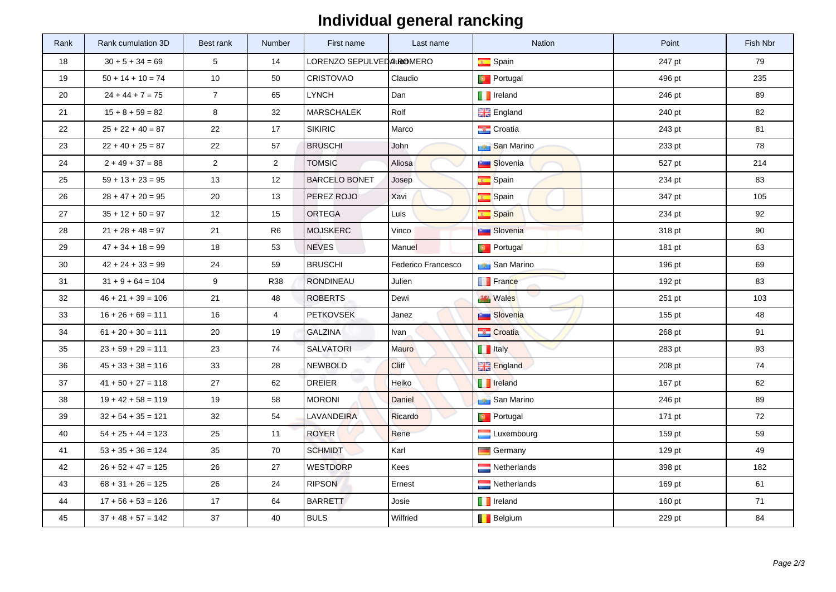## **Individual general rancking**

| Rank   | Rank cumulation 3D   | Best rank      | Number         | First name               | Last name          | <b>Nation</b>       | Point  | Fish Nbr |
|--------|----------------------|----------------|----------------|--------------------------|--------------------|---------------------|--------|----------|
| 18     | $30 + 5 + 34 = 69$   | 5              | 14             | LORENZO SEPULVEDAUROMERO |                    | Spain               | 247 pt | 79       |
| 19     | $50 + 14 + 10 = 74$  | 10             | 50             | <b>CRISTOVAO</b>         | Claudio            | <b>Portugal</b>     | 496 pt | 235      |
| 20     | $24 + 44 + 7 = 75$   | $\overline{7}$ | 65             | <b>LYNCH</b>             | Dan                | <b>F</b> Ireland    | 246 pt | 89       |
| 21     | $15 + 8 + 59 = 82$   | 8              | 32             | <b>MARSCHALEK</b>        | Rolf               | <b>England</b>      | 240 pt | 82       |
| 22     | $25 + 22 + 40 = 87$  | 22             | 17             | <b>SIKIRIC</b>           | Marco              | <b>Croatia</b>      | 243 pt | 81       |
| 23     | $22 + 40 + 25 = 87$  | 22             | 57             | <b>BRUSCHI</b>           | John               | <b>San Marino</b>   | 233 pt | 78       |
| 24     | $2 + 49 + 37 = 88$   | $\overline{2}$ | $\overline{2}$ | <b>TOMSIC</b>            | Aliosa             | <b>Slovenia</b>     | 527 pt | 214      |
| 25     | $59 + 13 + 23 = 95$  | 13             | 12             | <b>BARCELO BONET</b>     | Josep              | Spain               | 234 pt | 83       |
| 26     | $28 + 47 + 20 = 95$  | 20             | 13             | PEREZ ROJO               | Xavi               | Spain               | 347 pt | 105      |
| 27     | $35 + 12 + 50 = 97$  | 12             | 15             | <b>ORTEGA</b>            | Luis               | <b>Spain</b>        | 234 pt | 92       |
| 28     | $21 + 28 + 48 = 97$  | 21             | R <sub>6</sub> | <b>MOJSKERC</b>          | Vinco              | <b>Buy Slovenia</b> | 318 pt | 90       |
| 29     | $47 + 34 + 18 = 99$  | 18             | 53             | <b>NEVES</b>             | Manuel             | <b>Portugal</b>     | 181 pt | 63       |
| $30\,$ | $42 + 24 + 33 = 99$  | 24             | 59             | <b>BRUSCHI</b>           | Federico Francesco | <b>Ban Marino</b>   | 196 pt | 69       |
| 31     | $31 + 9 + 64 = 104$  | 9              | <b>R38</b>     | <b>RONDINEAU</b>         | Julien             | <b>France</b>       | 192 pt | 83       |
| 32     | $46 + 21 + 39 = 106$ | 21             | 48             | <b>ROBERTS</b>           | Dewi               | <b>WALES</b>        | 251 pt | 103      |
| 33     | $16 + 26 + 69 = 111$ | 16             | $\overline{4}$ | <b>PETKOVSEK</b>         | Janez              | <b>Slovenia</b>     | 155 pt | 48       |
| 34     | $61 + 20 + 30 = 111$ | 20             | 19             | <b>GALZINA</b>           | Ivan               | <b>Croatia</b>      | 268 pt | 91       |
| 35     | $23 + 59 + 29 = 111$ | 23             | 74             | <b>SALVATORI</b>         | Mauro              | <b>T</b> Italy      | 283 pt | 93       |
| 36     | $45 + 33 + 38 = 116$ | 33             | 28             | <b>NEWBOLD</b>           | Cliff              | <b>England</b>      | 208 pt | 74       |
| 37     | $41 + 50 + 27 = 118$ | 27             | 62             | <b>DREIER</b>            | Heiko              | <b>F</b> Ireland    | 167 pt | 62       |
| 38     | $19 + 42 + 58 = 119$ | 19             | 58             | <b>MORONI</b>            | Daniel             | <b>Ban Marino</b>   | 246 pt | 89       |
| 39     | $32 + 54 + 35 = 121$ | 32             | 54             | LAVANDEIRA               | $\sim$<br>Ricardo  | <b>Portugal</b>     | 171 pt | 72       |
| 40     | $54 + 25 + 44 = 123$ | 25             | 11             | <b>ROYER</b>             | Rene               | Luxembourg          | 159 pt | 59       |
| 41     | $53 + 35 + 36 = 124$ | 35             | 70             | <b>SCHMIDT</b>           | Karl               | Germany             | 129 pt | 49       |
| 42     | $26 + 52 + 47 = 125$ | 26             | 27             | <b>WESTDORP</b>          | Kees               | Netherlands         | 398 pt | 182      |
| 43     | $68 + 31 + 26 = 125$ | 26             | 24             | <b>RIPSON</b>            | Ernest             | Netherlands         | 169 pt | 61       |
| 44     | $17 + 56 + 53 = 126$ | 17             | 64             | <b>BARRETT</b>           | Josie              | <b>T</b> Ireland    | 160 pt | 71       |
| 45     | $37 + 48 + 57 = 142$ | 37             | 40             | <b>BULS</b>              | Wilfried           | <b>Belgium</b>      | 229 pt | 84       |